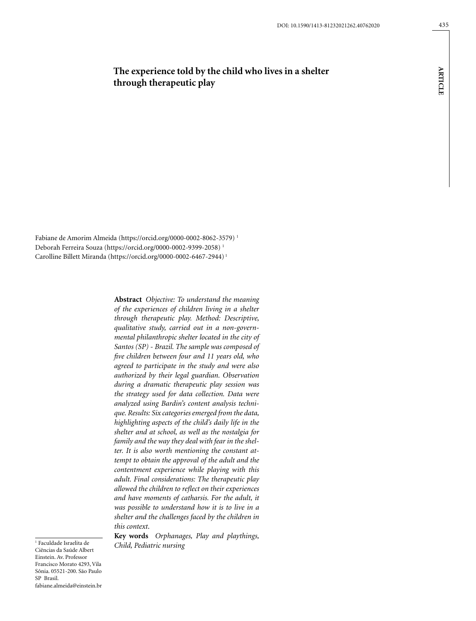# **The experience told by the child who lives in a shelter through therapeutic play**

Fabiane de Amorim Almeida (https://orcid.org/0000-0002-8062-3579) 1 Deborah Ferreira Souza (https://orcid.org/0000-0002-9399-2058) 1 Carolline Billett Miranda (https://orcid.org/0000-0002-6467-2944) 1

> **Abstract** *Objective: To understand the meaning of the experiences of children living in a shelter through therapeutic play. Method: Descriptive, qualitative study, carried out in a non-governmental philanthropic shelter located in the city of Santos (SP) - Brazil. The sample was composed of five children between four and 11 years old, who agreed to participate in the study and were also authorized by their legal guardian. Observation during a dramatic therapeutic play session was the strategy used for data collection. Data were analyzed using Bardin's content analysis technique. Results: Six categories emerged from the data, highlighting aspects of the child's daily life in the shelter and at school, as well as the nostalgia for family and the way they deal with fear in the shelter. It is also worth mentioning the constant attempt to obtain the approval of the adult and the contentment experience while playing with this adult. Final considerations: The therapeutic play allowed the children to reflect on their experiences and have moments of catharsis. For the adult, it was possible to understand how it is to live in a shelter and the challenges faced by the children in this context*.

**Key words** *Orphanages, Play and playthings, Child, Pediatric nursing*

1 Faculdade Israelita de Ciências da Saúde Albert Einstein. Av. Professor Francisco Morato 4293, Vila Sônia. 05521-200. São Paulo SP Brasil. fabiane.almeida@einstein.br

**a rticle**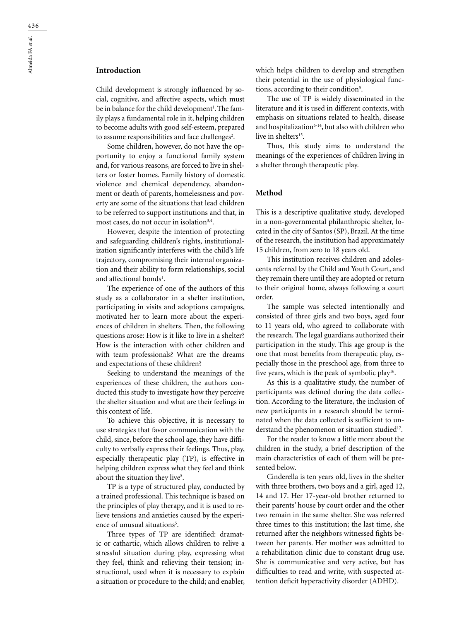## **Introduction**

Child development is strongly influenced by social, cognitive, and affective aspects, which must be in balance for the child development<sup>1</sup>. The family plays a fundamental role in it, helping children to become adults with good self-esteem, prepared to assume responsibilities and face challenges $^2\!\!$ .

Some children, however, do not have the opportunity to enjoy a functional family system and, for various reasons, are forced to live in shelters or foster homes. Family history of domestic violence and chemical dependency, abandonment or death of parents, homelessness and poverty are some of the situations that lead children to be referred to support institutions and that, in most cases, do not occur in isolation<sup>3,4</sup>.

However, despite the intention of protecting and safeguarding children's rights, institutionalization significantly interferes with the child's life trajectory, compromising their internal organization and their ability to form relationships, social and affectional bonds<sup>1</sup>.

The experience of one of the authors of this study as a collaborator in a shelter institution, participating in visits and adoptions campaigns, motivated her to learn more about the experiences of children in shelters. Then, the following questions arose: How is it like to live in a shelter? How is the interaction with other children and with team professionals? What are the dreams and expectations of these children?

Seeking to understand the meanings of the experiences of these children, the authors conducted this study to investigate how they perceive the shelter situation and what are their feelings in this context of life.

To achieve this objective, it is necessary to use strategies that favor communication with the child, since, before the school age, they have difficulty to verbally express their feelings. Thus, play, especially therapeutic play (TP), is effective in helping children express what they feel and think about the situation they live<sup>5</sup>.

TP is a type of structured play, conducted by a trained professional. This technique is based on the principles of play therapy, and it is used to relieve tensions and anxieties caused by the experience of unusual situations<sup>5</sup>.

Three types of TP are identified: dramatic or cathartic, which allows children to relive a stressful situation during play, expressing what they feel, think and relieving their tension; instructional, used when it is necessary to explain a situation or procedure to the child; and enabler, which helps children to develop and strengthen their potential in the use of physiological functions, according to their condition<sup>5</sup>.

The use of TP is widely disseminated in the literature and it is used in different contexts, with emphasis on situations related to health, disease and hospitalization $6-14$ , but also with children who live in shelters<sup>15</sup>.

Thus, this study aims to understand the meanings of the experiences of children living in a shelter through therapeutic play.

## **Method**

This is a descriptive qualitative study, developed in a non-governmental philanthropic shelter, located in the city of Santos (SP), Brazil. At the time of the research, the institution had approximately 15 children, from zero to 18 years old.

This institution receives children and adolescents referred by the Child and Youth Court, and they remain there until they are adopted or return to their original home, always following a court order.

The sample was selected intentionally and consisted of three girls and two boys, aged four to 11 years old, who agreed to collaborate with the research. The legal guardians authorized their participation in the study. This age group is the one that most benefits from therapeutic play, especially those in the preschool age, from three to five years, which is the peak of symbolic play<sup>16</sup>.

As this is a qualitative study, the number of participants was defined during the data collection. According to the literature, the inclusion of new participants in a research should be terminated when the data collected is sufficient to understand the phenomenon or situation studied<sup>17</sup>.

For the reader to know a little more about the children in the study, a brief description of the main characteristics of each of them will be presented below.

Cinderella is ten years old, lives in the shelter with three brothers, two boys and a girl, aged 12, 14 and 17. Her 17-year-old brother returned to their parents' house by court order and the other two remain in the same shelter. She was referred three times to this institution; the last time, she returned after the neighbors witnessed fights between her parents. Her mother was admitted to a rehabilitation clinic due to constant drug use. She is communicative and very active, but has difficulties to read and write, with suspected attention deficit hyperactivity disorder (ADHD).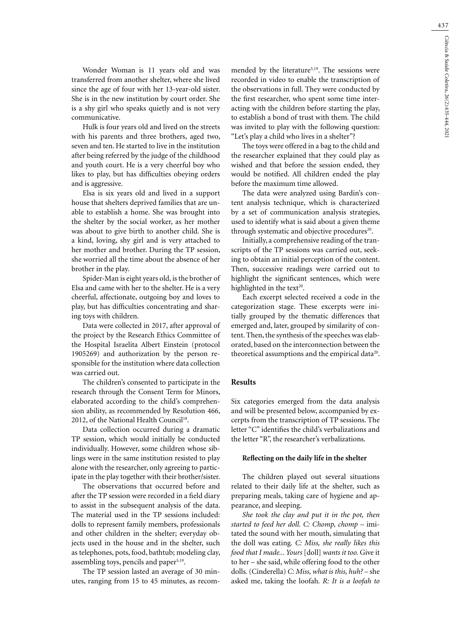437

Wonder Woman is 11 years old and was transferred from another shelter, where she lived since the age of four with her 13-year-old sister. She is in the new institution by court order. She is a shy girl who speaks quietly and is not very communicative.

Hulk is four years old and lived on the streets with his parents and three brothers, aged two, seven and ten. He started to live in the institution after being referred by the judge of the childhood and youth court. He is a very cheerful boy who likes to play, but has difficulties obeying orders and is aggressive.

Elsa is six years old and lived in a support house that shelters deprived families that are unable to establish a home. She was brought into the shelter by the social worker, as her mother was about to give birth to another child. She is a kind, loving, shy girl and is very attached to her mother and brother. During the TP session, she worried all the time about the absence of her brother in the play.

Spider-Man is eight years old, is the brother of Elsa and came with her to the shelter. He is a very cheerful, affectionate, outgoing boy and loves to play, but has difficulties concentrating and sharing toys with children.

Data were collected in 2017, after approval of the project by the Research Ethics Committee of the Hospital Israelita Albert Einstein (protocol 1905269) and authorization by the person responsible for the institution where data collection was carried out.

The children's consented to participate in the research through the Consent Term for Minors, elaborated according to the child's comprehension ability, as recommended by Resolution 466, 2012, of the National Health Council<sup>18</sup>.

Data collection occurred during a dramatic TP session, which would initially be conducted individually. However, some children whose siblings were in the same institution resisted to play alone with the researcher, only agreeing to participate in the play together with their brother/sister.

The observations that occurred before and after the TP session were recorded in a field diary to assist in the subsequent analysis of the data. The material used in the TP sessions included: dolls to represent family members, professionals and other children in the shelter; everyday objects used in the house and in the shelter, such as telephones, pots, food, bathtub; modeling clay, assembling toys, pencils and paper<sup>5,19</sup>.

The TP session lasted an average of 30 minutes, ranging from 15 to 45 minutes, as recommended by the literature<sup>5,19</sup>. The sessions were recorded in video to enable the transcription of the observations in full. They were conducted by the first researcher, who spent some time interacting with the children before starting the play, to establish a bond of trust with them. The child was invited to play with the following question: "Let's play a child who lives in a shelter"?

The toys were offered in a bag to the child and the researcher explained that they could play as wished and that before the session ended, they would be notified. All children ended the play before the maximum time allowed.

The data were analyzed using Bardin's content analysis technique, which is characterized by a set of communication analysis strategies, used to identify what is said about a given theme through systematic and objective procedures<sup>20</sup>.

Initially, a comprehensive reading of the transcripts of the TP sessions was carried out, seeking to obtain an initial perception of the content. Then, successive readings were carried out to highlight the significant sentences, which were highlighted in the text<sup>20</sup>.

Each excerpt selected received a code in the categorization stage. These excerpts were initially grouped by the thematic differences that emerged and, later, grouped by similarity of content. Then, the synthesis of the speeches was elaborated, based on the interconnection between the theoretical assumptions and the empirical data<sup>20</sup>.

### **Results**

Six categories emerged from the data analysis and will be presented below, accompanied by excerpts from the transcription of TP sessions. The letter "C" identifies the child's verbalizations and the letter "R", the researcher's verbalizations.

### **Reflecting on the daily life in the shelter**

The children played out several situations related to their daily life at the shelter, such as preparing meals, taking care of hygiene and appearance, and sleeping.

*She took the clay and put it in the pot, then started to feed her doll. C: Chomp, chomp –* imitated the sound with her mouth, simulating that the doll was eating*. C: Miss, she really likes this food that I made... Yours* [doll] *wants it too.* Give it to her – she said, while offering food to the other dolls*.* (Cinderella) *C: Miss, what is this, huh? –* she asked me, taking the loofah*. R: It is a loofah to*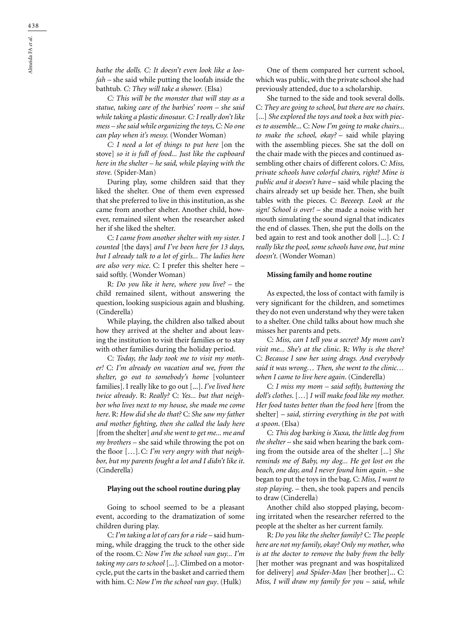*bathe the dolls. C: It doesn't even look like a loofah –* she said while putting the loofah inside the bathtub*. C: They will take a shower.* (Elsa)

*C: This will be the monster that will stay as a statue, taking care of the barbies' room – she said while taking a plastic dinosaur. C: I really don't like mess – she said while organizing the toys, C: No one can play when it's messy.* (Wonder Woman)

*C: I need a lot of things to put here* [on the stove] *so it is full of food... Just like the cupboard here in the shelter – he said, while playing with the stove.* (Spider-Man)

During play, some children said that they liked the shelter. One of them even expressed that she preferred to live in this institution, as she came from another shelter. Another child, however, remained silent when the researcher asked her if she liked the shelter.

C: *I came from another shelter with my sister. I counted* [the days] *and I've been here for 13 days, but I already talk to a lot of girls... The ladies here are also very nice*. C: I prefer this shelter here – said softly. (Wonder Woman)

R: *Do you like it here, where you live?* – the child remained silent, without answering the question, looking suspicious again and blushing. (Cinderella)

While playing, the children also talked about how they arrived at the shelter and about leaving the institution to visit their families or to stay with other families during the holiday period.

C: *Today, the lady took me to visit my mother!* C: *I'm already on vacation and we, from the shelter, go out to somebody's home* [volunteer families]. I really like to go out [...]. *I've lived here twice already*. R: *Really?* C: *Yes... but that neighbor who lives next to my house, she made me come here*. R: *How did she do that?* C: *She saw my father and mother fighting, then she called the lady here* [from the shelter] *and she went to get me... me and my brothers* – she said while throwing the pot on the floor […].C: *I'm very angry with that neighbor, but my parents fought a lot and I didn't like it*. (Cinderella)

#### **Playing out the school routine during play**

Going to school seemed to be a pleasant event, according to the dramatization of some children during play.

C: *I'm taking a lot of cars for a ride* – said humming, while dragging the truck to the other side of the room.C: *Now I'm the school van guy... I'm taking my cars to school* [...]. Climbed on a motorcycle, put the carts in the basket and carried them with him. C: *Now I'm the school van guy*. (Hulk)

One of them compared her current school, which was public, with the private school she had previously attended, due to a scholarship.

She turned to the side and took several dolls. C: *They are going to school, but there are no chairs*. [...] *She explored the toys and took a box with pieces to assemble*... C: *Now I'm going to make chairs... to make the school, okay?* – said while playing with the assembling pieces. She sat the doll on the chair made with the pieces and continued assembling other chairs of different colors. C: *Miss, private schools have colorful chairs, right? Mine is public and it doesn't have* – said while placing the chairs already set up beside her. Then, she built tables with the pieces. C: *Beeeeep. Look at the sign! School is over!* – she made a noise with her mouth simulating the sound signal that indicates the end of classes. Then, she put the dolls on the bed again to rest and took another doll [...]. C: *I really like the pool, some schools have one, but mine doesn't*. (Wonder Woman)

#### **Missing family and home routine**

As expected, the loss of contact with family is very significant for the children, and sometimes they do not even understand why they were taken to a shelter. One child talks about how much she misses her parents and pets.

C: *Miss, can I tell you a secret? My mom can't visit me... She's at the clinic*. R: *Why is she there?* C: *Because I saw her using drugs. And everybody said it was wrong… Then, she went to the clinic… when I came to live here again*. (Cinderella)

C: *I miss my mom – said softly, buttoning the doll's clothes*. […] *I will make food like my mother. Her food tastes better than the food here* [from the shelter] – *said, stirring everything in the pot with a spoon*. (Elsa)

C: *This dog barking is Xuxa, the little dog from the shelter* – she said when hearing the bark coming from the outside area of the shelter [...] *She reminds me of Baby, my dog... He got lost on the beach, one day, and I never found him again*. – she began to put the toys in the bag. C: *Miss, I want to stop playing*. – then, she took papers and pencils to draw (Cinderella)

Another child also stopped playing, becoming irritated when the researcher referred to the people at the shelter as her current family.

R: *Do you like the shelter family?* C: *The people here are not my family, okay? Only my mother, who is at the doctor to remove the baby from the belly* [her mother was pregnant and was hospitalized for delivery] *and Spider-Man* [her brother]... C: *Miss, I will draw my family for you – said, while*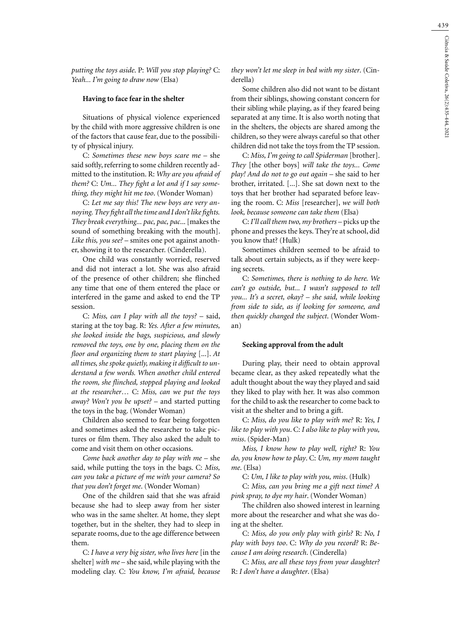*putting the toys aside*. P: *Will you stop playing?* C: *Yeah... I'm going to draw now* (Elsa)

#### **Having to face fear in the shelter**

Situations of physical violence experienced by the child with more aggressive children is one of the factors that cause fear, due to the possibility of physical injury.

C: *Sometimes these new boys scare me* – she said softly, referring to some children recently admitted to the institution. R: *Why are you afraid of them?* C: *Um... They fight a lot and if I say something, they might hit me too*. (Wonder Woman)

C: *Let me say this! The new boys are very annoying. They fight all the time and I don't like fights. They break everything... pac, pac, pac*... [makes the sound of something breaking with the mouth]. *Like this, you see?* – smites one pot against another, showing it to the researcher. (Cinderella).

One child was constantly worried, reserved and did not interact a lot. She was also afraid of the presence of other children; she flinched any time that one of them entered the place or interfered in the game and asked to end the TP session.

C: *Miss, can I play with all the toys?* – said, staring at the toy bag. R: *Yes. After a few minutes, she looked inside the bags, suspicious, and slowly removed the toys, one by one, placing them on the floor and organizing them to start playing* [...]. *At all times, she spoke quietly, making it difficult to understand a few words. When another child entered the room, she flinched, stopped playing and looked at the researcher*… C: *Miss, can we put the toys away? Won't you be upset?* – and started putting the toys in the bag. (Wonder Woman)

Children also seemed to fear being forgotten and sometimes asked the researcher to take pictures or film them. They also asked the adult to come and visit them on other occasions.

*Come back another day to play with me* – she said, while putting the toys in the bags. C: *Miss, can you take a picture of me with your camera? So that you don't forget me*. (Wonder Woman)

One of the children said that she was afraid because she had to sleep away from her sister who was in the same shelter. At home, they slept together, but in the shelter, they had to sleep in separate rooms, due to the age difference between them.

C: *I have a very big sister, who lives here* [in the shelter] *with me* – she said, while playing with the modeling clay. C: *You know, I'm afraid, because*  *they won't let me sleep in bed with my sister*. (Cinderella)

Some children also did not want to be distant from their siblings, showing constant concern for their sibling while playing, as if they feared being separated at any time. It is also worth noting that in the shelters, the objects are shared among the children, so they were always careful so that other children did not take the toys from the TP session.

C: *Miss, I'm going to call Spiderman* [brother]. *They* [the other boys] *will take the toys... Come play! And do not to go out again* – she said to her brother, irritated. [...]. She sat down next to the toys that her brother had separated before leaving the room. C: *Miss* [researcher], *we will both look, because someone can take them* (Elsa)

C: *I'll call them two, my brothers* – picks up the phone and presses the keys. They're at school, did you know that? (Hulk)

Sometimes children seemed to be afraid to talk about certain subjects, as if they were keeping secrets.

C: *Sometimes, there is nothing to do here. We can't go outside, but... I wasn't supposed to tell you... It's a secret, okay? – she said, while looking from side to side, as if looking for someone, and then quickly changed the subject*. (Wonder Woman)

#### **Seeking approval from the adult**

During play, their need to obtain approval became clear, as they asked repeatedly what the adult thought about the way they played and said they liked to play with her. It was also common for the child to ask the researcher to come back to visit at the shelter and to bring a gift.

C: *Miss, do you like to play with me?* R: *Yes, I like to play with you*. C: *I also like to play with you, miss*. (Spider-Man)

*Miss, I know how to play well, right?* R: *You do, you know how to play*. C: *Um, my mom taught me*. (Elsa)

C: *Um, I like to play with you, miss*. (Hulk)

C: *Miss, can you bring me a gift next time? A pink spray, to dye my hair*. (Wonder Woman)

The children also showed interest in learning more about the researcher and what she was doing at the shelter.

C: *Miss, do you only play with girls?* R: *No, I play with boys too*. C: *Why do you record?* R: *Because I am doing research*. (Cinderella)

C: *Miss, are all these toys from your daughter?* R: *I don't have a daughter*. (Elsa)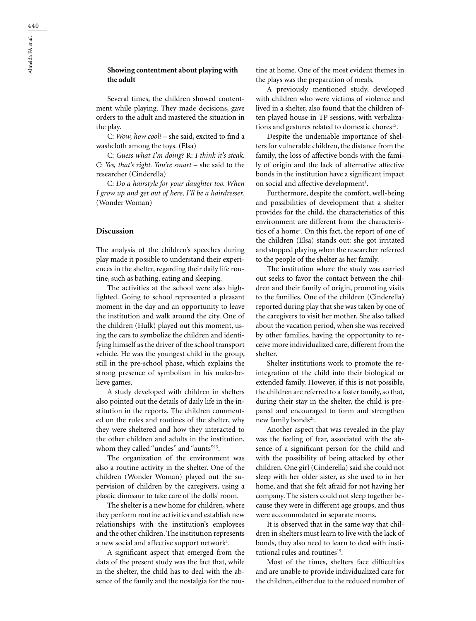## **Showing contentment about playing with the adult**

Several times, the children showed contentment while playing. They made decisions, gave orders to the adult and mastered the situation in the play.

C: *Wow, how cool!* – she said, excited to find a washcloth among the toys. (Elsa)

C: *Guess what I'm doing?* R: *I think it's steak*. C: *Yes, that's right. You're smart* – she said to the researcher (Cinderella)

C: *Do a hairstyle for your daughter too. When I grow up and get out of here, I'll be a hairdresser*. (Wonder Woman)

## **Discussion**

The analysis of the children's speeches during play made it possible to understand their experiences in the shelter, regarding their daily life routine, such as bathing, eating and sleeping.

The activities at the school were also highlighted. Going to school represented a pleasant moment in the day and an opportunity to leave the institution and walk around the city. One of the children (Hulk) played out this moment, using the cars to symbolize the children and identifying himself as the driver of the school transport vehicle. He was the youngest child in the group, still in the pre-school phase, which explains the strong presence of symbolism in his make-believe games.

A study developed with children in shelters also pointed out the details of daily life in the institution in the reports. The children commented on the rules and routines of the shelter, why they were sheltered and how they interacted to the other children and adults in the institution, whom they called "uncles" and "aunts"<sup>15</sup>.

The organization of the environment was also a routine activity in the shelter. One of the children (Wonder Woman) played out the supervision of children by the caregivers, using a plastic dinosaur to take care of the dolls' room.

The shelter is a new home for children, where they perform routine activities and establish new relationships with the institution's employees and the other children. The institution represents a new social and affective support network<sup>1</sup>.

A significant aspect that emerged from the data of the present study was the fact that, while in the shelter, the child has to deal with the absence of the family and the nostalgia for the routine at home. One of the most evident themes in the plays was the preparation of meals.

A previously mentioned study, developed with children who were victims of violence and lived in a shelter, also found that the children often played house in TP sessions, with verbalizations and gestures related to domestic chores<sup>15</sup>.

Despite the undeniable importance of shelters for vulnerable children, the distance from the family, the loss of affective bonds with the family of origin and the lack of alternative affective bonds in the institution have a significant impact on social and affective development<sup>1</sup>.

Furthermore, despite the comfort, well-being and possibilities of development that a shelter provides for the child, the characteristics of this environment are different from the characteristics of a home1 . On this fact, the report of one of the children (Elsa) stands out: she got irritated and stopped playing when the researcher referred to the people of the shelter as her family.

The institution where the study was carried out seeks to favor the contact between the children and their family of origin, promoting visits to the families. One of the children (Cinderella) reported during play that she was taken by one of the caregivers to visit her mother. She also talked about the vacation period, when she was received by other families, having the opportunity to receive more individualized care, different from the shelter.

Shelter institutions work to promote the reintegration of the child into their biological or extended family. However, if this is not possible, the children are referred to a foster family, so that, during their stay in the shelter, the child is prepared and encouraged to form and strengthen new family bonds<sup>21</sup>.

Another aspect that was revealed in the play was the feeling of fear, associated with the absence of a significant person for the child and with the possibility of being attacked by other children. One girl (Cinderella) said she could not sleep with her older sister, as she used to in her home, and that she felt afraid for not having her company. The sisters could not sleep together because they were in different age groups, and thus were accommodated in separate rooms.

It is observed that in the same way that children in shelters must learn to live with the lack of bonds, they also need to learn to deal with institutional rules and routines<sup>15</sup>.

Most of the times, shelters face difficulties and are unable to provide individualized care for the children, either due to the reduced number of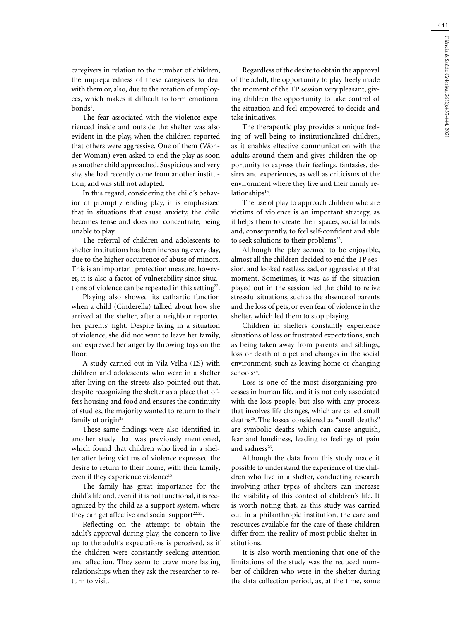caregivers in relation to the number of children, the unpreparedness of these caregivers to deal with them or, also, due to the rotation of employees, which makes it difficult to form emotional bonds<sup>1</sup>.

The fear associated with the violence experienced inside and outside the shelter was also evident in the play, when the children reported that others were aggressive. One of them (Wonder Woman) even asked to end the play as soon as another child approached. Suspicious and very shy, she had recently come from another institution, and was still not adapted.

In this regard, considering the child's behavior of promptly ending play, it is emphasized that in situations that cause anxiety, the child becomes tense and does not concentrate, being unable to play.

The referral of children and adolescents to shelter institutions has been increasing every day, due to the higher occurrence of abuse of minors. This is an important protection measure; however, it is also a factor of vulnerability since situations of violence can be repeated in this setting<sup>22</sup>.

Playing also showed its cathartic function when a child (Cinderella) talked about how she arrived at the shelter, after a neighbor reported her parents' fight. Despite living in a situation of violence, she did not want to leave her family, and expressed her anger by throwing toys on the floor.

A study carried out in Vila Velha (ES) with children and adolescents who were in a shelter after living on the streets also pointed out that, despite recognizing the shelter as a place that offers housing and food and ensures the continuity of studies, the majority wanted to return to their family of origin $23$ 

These same findings were also identified in another study that was previously mentioned, which found that children who lived in a shelter after being victims of violence expressed the desire to return to their home, with their family, even if they experience violence<sup>15</sup>.

The family has great importance for the child's life and, even if it is not functional, it is recognized by the child as a support system, where they can get affective and social support $22,23$ .

Reflecting on the attempt to obtain the adult's approval during play, the concern to live up to the adult's expectations is perceived, as if the children were constantly seeking attention and affection. They seem to crave more lasting relationships when they ask the researcher to return to visit.

Regardless of the desire to obtain the approval of the adult, the opportunity to play freely made the moment of the TP session very pleasant, giving children the opportunity to take control of the situation and feel empowered to decide and take initiatives.

The therapeutic play provides a unique feeling of well-being to institutionalized children, as it enables effective communication with the adults around them and gives children the opportunity to express their feelings, fantasies, desires and experiences, as well as criticisms of the environment where they live and their family relationships<sup>15</sup>.

The use of play to approach children who are victims of violence is an important strategy, as it helps them to create their spaces, social bonds and, consequently, to feel self-confident and able to seek solutions to their problems<sup>22</sup>.

Although the play seemed to be enjoyable, almost all the children decided to end the TP session, and looked restless, sad, or aggressive at that moment. Sometimes, it was as if the situation played out in the session led the child to relive stressful situations, such as the absence of parents and the loss of pets, or even fear of violence in the shelter, which led them to stop playing.

Children in shelters constantly experience situations of loss or frustrated expectations, such as being taken away from parents and siblings, loss or death of a pet and changes in the social environment, such as leaving home or changing schools<sup>24</sup>.

Loss is one of the most disorganizing processes in human life, and it is not only associated with the loss people, but also with any process that involves life changes, which are called small deaths<sup>25</sup>. The losses considered as "small deaths" are symbolic deaths which can cause anguish, fear and loneliness, leading to feelings of pain and sadness $26$ .

Although the data from this study made it possible to understand the experience of the children who live in a shelter, conducting research involving other types of shelters can increase the visibility of this context of children's life. It is worth noting that, as this study was carried out in a philanthropic institution, the care and resources available for the care of these children differ from the reality of most public shelter institutions.

It is also worth mentioning that one of the limitations of the study was the reduced number of children who were in the shelter during the data collection period, as, at the time, some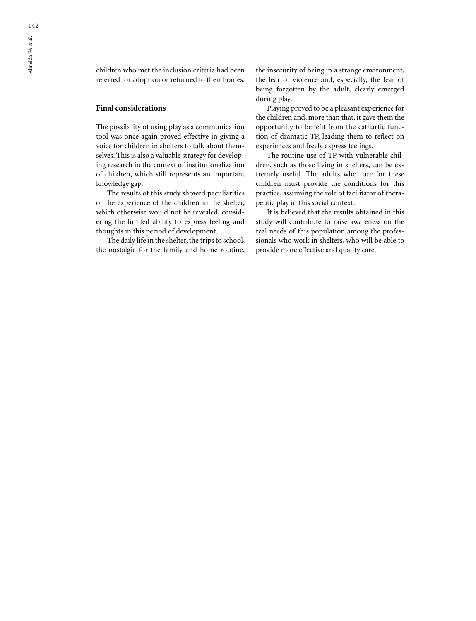children who met the inclusion criteria had been referred for adoption or returned to their homes.

## **Final considerations**

The possibility of using play as a communication tool was once again proved effective in giving a voice for children in shelters to talk about themselves. This is also a valuable strategy for developing research in the context of institutionalization of children, which still represents an important knowledge gap.

The results of this study showed peculiarities of the experience of the children in the shelter, which otherwise would not be revealed, considering the limited ability to express feeling and thoughts in this period of development.

The daily life in the shelter, the trips to school, the nostalgia for the family and home routine, the insecurity of being in a strange environment, the fear of violence and, especially, the fear of being forgotten by the adult, clearly emerged during play.

Playing proved to be a pleasant experience for the children and, more than that, it gave them the opportunity to benefit from the cathartic function of dramatic TP, leading them to reflect on experiences and freely express feelings.

The routine use of TP with vulnerable children, such as those living in shelters, can be extremely useful. The adults who care for these children must provide the conditions for this practice, assuming the role of facilitator of therapeutic play in this social context.

It is believed that the results obtained in this study will contribute to raise awareness on the real needs of this population among the professionals who work in shelters, who will be able to provide more effective and quality care.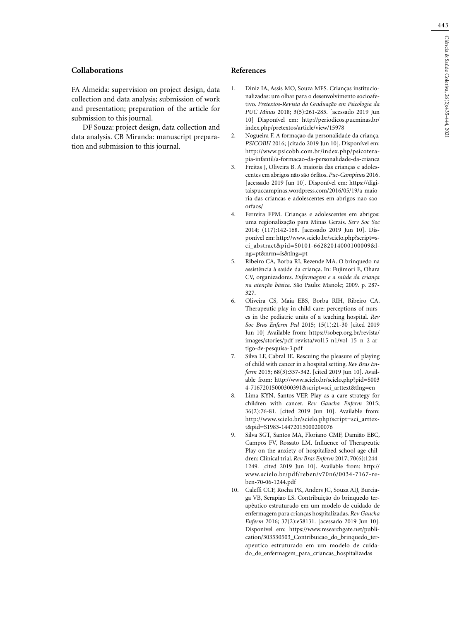## **Collaborations**

FA Almeida: supervision on project design, data collection and data analysis; submission of work and presentation; preparation of the article for submission to this journal.

DF Souza: project design, data collection and data analysis. CB Miranda: manuscript preparation and submission to this journal.

### **References**

- 1. Diniz IA, Assis MO, Souza MFS. Crianças institucionalizadas: um olhar para o desenvolvimento socioafetivo. *Pretextos*-*Revista da Graduação em Psicologia da PUC Minas* 2018; 3(5):261-285. [acessado 2019 Jun 10] Disponível em: http://periodicos.pucminas.br/ index.php/pretextos/article/view/15978
- 2. Nogueira F. A formação da personalidade da criança*. PSICOBH* 2016; [citado 2019 Jun 10]. Disponível em: http://www.psicobh.com.br/index.php/psicoterapia-infantil/a-formacao-da-personalidade-da-crianca
- 3. Freitas J, Oliveira B. A maioria das crianças e adolescentes em abrigos não são órfãos. *Puc-Campinas* 2016. [acessado 2019 Jun 10]. Disponível em: https://digitaispuccampinas.wordpress.com/2016/05/19/a-maioria-das-criancas-e-adolescentes-em-abrigos-nao-saoorfaos/
- 4. Ferreira FPM. Crianças e adolescentes em abrigos: uma regionalização para Minas Gerais. *Serv Soc Soc*  2014; (117):142-168. [acessado 2019 Jun 10]. Disponível em: http://www.scielo.br/scielo.php?script=sci\_abstract&pid=S0101-66282014000100009&lng=pt&nrm=is&tlng=pt
- 5. Ribeiro CA, Borba RI, Rezende MA. O brinquedo na assistência à saúde da criança. In: Fujimori E, Ohara CV, organizadores. *Enfermagem e a saúde da criança na atenção básica*. São Paulo: Manole; 2009. p. 287- 327.
- 6. Oliveira CS, Maia EBS, Borba RIH, Ribeiro CA. Therapeutic play in child care: perceptions of nurses in the pediatric units of a teaching hospital. *Rev Soc Bras Enferm Ped* 2015; 15(1):21-30 [cited 2019 Jun 10] Available from: https://sobep.org.br/revista/ images/stories/pdf-revista/vol15-n1/vol\_15\_n\_2-artigo-de-pesquisa-3.pdf
- 7. Silva LF, Cabral IE. Rescuing the pleasure of playing of child with cancer in a hospital setting. *Rev Bras Enferm* 2015; 68(3):337-342. [cited 2019 Jun 10]. Available from: http://www.scielo.br/scielo.php?pid=S003 4-71672015000300391&script=sci\_arttext&tlng=en
- 8. Lima KYN, Santos VEP. Play as a care strategy for children with cancer. *Rev Gaucha Enferm* 2015; 36(2):76-81. [cited 2019 Jun 10]. Available from: http://www.scielo.br/scielo.php?script=sci\_arttext&pid=S1983-14472015000200076
- 9. Silva SGT, Santos MA, Floriano CMF, Damião EBC, Campos FV, Rossato LM. Influence of Therapeutic Play on the anxiety of hospitalized school-age children: Clinical trial. *Rev Bras Enferm* 2017; 70(6):1244- 1249. [cited 2019 Jun 10]. Available from: http:// www.scielo.br/pdf/reben/v70n6/0034-7167-reben-70-06-1244.pdf
- 10. Caleffi CCF, Rocha PK, Anders JC, Souza AIJ, Burciaga VB, Serapiao LS. Contribuição do brinquedo terapêutico estruturado em um modelo de cuidado de enfermagem para crianças hospitalizadas. *Rev Gaucha Enferm* 2016; 37(2):e58131. [acessado 2019 Jun 10]. Disponível em: https://www.researchgate.net/publication/303530503\_Contribuicao\_do\_brinquedo\_terapeutico\_estruturado\_em\_um\_modelo\_de\_cuidado\_de\_enfermagem\_para\_criancas\_hospitalizadas